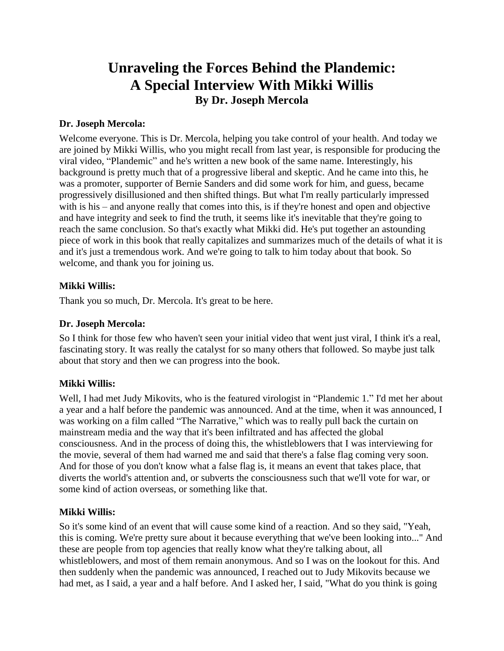# **Unraveling the Forces Behind the Plandemic: A Special Interview With Mikki Willis By Dr. Joseph Mercola**

### **Dr. Joseph Mercola:**

Welcome everyone. This is Dr. Mercola, helping you take control of your health. And today we are joined by Mikki Willis, who you might recall from last year, is responsible for producing the viral video, "Plandemic" and he's written a new book of the same name. Interestingly, his background is pretty much that of a progressive liberal and skeptic. And he came into this, he was a promoter, supporter of Bernie Sanders and did some work for him, and guess, became progressively disillusioned and then shifted things. But what I'm really particularly impressed with is his – and anyone really that comes into this, is if they're honest and open and objective and have integrity and seek to find the truth, it seems like it's inevitable that they're going to reach the same conclusion. So that's exactly what Mikki did. He's put together an astounding piece of work in this book that really capitalizes and summarizes much of the details of what it is and it's just a tremendous work. And we're going to talk to him today about that book. So welcome, and thank you for joining us.

# **Mikki Willis:**

Thank you so much, Dr. Mercola. It's great to be here.

### **Dr. Joseph Mercola:**

So I think for those few who haven't seen your initial video that went just viral, I think it's a real, fascinating story. It was really the catalyst for so many others that followed. So maybe just talk about that story and then we can progress into the book.

# **Mikki Willis:**

Well, I had met Judy Mikovits, who is the featured virologist in "Plandemic 1." I'd met her about a year and a half before the pandemic was announced. And at the time, when it was announced, I was working on a film called "The Narrative," which was to really pull back the curtain on mainstream media and the way that it's been infiltrated and has affected the global consciousness. And in the process of doing this, the whistleblowers that I was interviewing for the movie, several of them had warned me and said that there's a false flag coming very soon. And for those of you don't know what a false flag is, it means an event that takes place, that diverts the world's attention and, or subverts the consciousness such that we'll vote for war, or some kind of action overseas, or something like that.

### **Mikki Willis:**

So it's some kind of an event that will cause some kind of a reaction. And so they said, "Yeah, this is coming. We're pretty sure about it because everything that we've been looking into..." And these are people from top agencies that really know what they're talking about, all whistleblowers, and most of them remain anonymous. And so I was on the lookout for this. And then suddenly when the pandemic was announced, I reached out to Judy Mikovits because we had met, as I said, a year and a half before. And I asked her, I said, "What do you think is going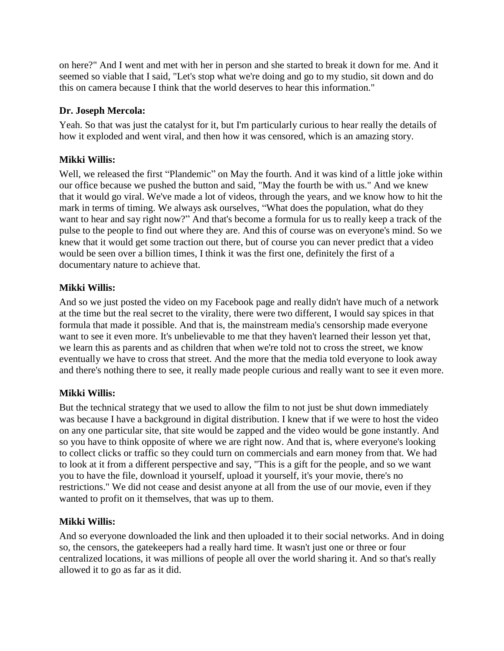on here?" And I went and met with her in person and she started to break it down for me. And it seemed so viable that I said, "Let's stop what we're doing and go to my studio, sit down and do this on camera because I think that the world deserves to hear this information."

# **Dr. Joseph Mercola:**

Yeah. So that was just the catalyst for it, but I'm particularly curious to hear really the details of how it exploded and went viral, and then how it was censored, which is an amazing story.

# **Mikki Willis:**

Well, we released the first "Plandemic" on May the fourth. And it was kind of a little joke within our office because we pushed the button and said, "May the fourth be with us." And we knew that it would go viral. We've made a lot of videos, through the years, and we know how to hit the mark in terms of timing. We always ask ourselves, "What does the population, what do they want to hear and say right now?" And that's become a formula for us to really keep a track of the pulse to the people to find out where they are. And this of course was on everyone's mind. So we knew that it would get some traction out there, but of course you can never predict that a video would be seen over a billion times, I think it was the first one, definitely the first of a documentary nature to achieve that.

# **Mikki Willis:**

And so we just posted the video on my Facebook page and really didn't have much of a network at the time but the real secret to the virality, there were two different, I would say spices in that formula that made it possible. And that is, the mainstream media's censorship made everyone want to see it even more. It's unbelievable to me that they haven't learned their lesson yet that, we learn this as parents and as children that when we're told not to cross the street, we know eventually we have to cross that street. And the more that the media told everyone to look away and there's nothing there to see, it really made people curious and really want to see it even more.

# **Mikki Willis:**

But the technical strategy that we used to allow the film to not just be shut down immediately was because I have a background in digital distribution. I knew that if we were to host the video on any one particular site, that site would be zapped and the video would be gone instantly. And so you have to think opposite of where we are right now. And that is, where everyone's looking to collect clicks or traffic so they could turn on commercials and earn money from that. We had to look at it from a different perspective and say, "This is a gift for the people, and so we want you to have the file, download it yourself, upload it yourself, it's your movie, there's no restrictions." We did not cease and desist anyone at all from the use of our movie, even if they wanted to profit on it themselves, that was up to them.

# **Mikki Willis:**

And so everyone downloaded the link and then uploaded it to their social networks. And in doing so, the censors, the gatekeepers had a really hard time. It wasn't just one or three or four centralized locations, it was millions of people all over the world sharing it. And so that's really allowed it to go as far as it did.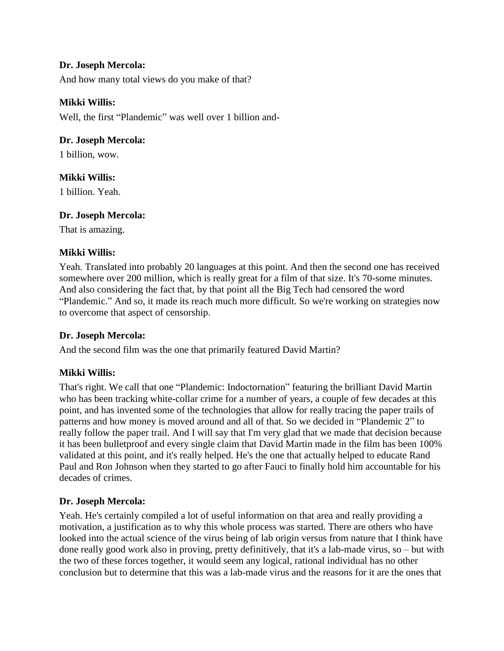# **Dr. Joseph Mercola:**

And how many total views do you make of that?

### **Mikki Willis:**

Well, the first "Plandemic" was well over 1 billion and-

### **Dr. Joseph Mercola:**

1 billion, wow.

# **Mikki Willis:**

1 billion. Yeah.

### **Dr. Joseph Mercola:**

That is amazing.

### **Mikki Willis:**

Yeah. Translated into probably 20 languages at this point. And then the second one has received somewhere over 200 million, which is really great for a film of that size. It's 70-some minutes. And also considering the fact that, by that point all the Big Tech had censored the word "Plandemic." And so, it made its reach much more difficult. So we're working on strategies now to overcome that aspect of censorship.

# **Dr. Joseph Mercola:**

And the second film was the one that primarily featured David Martin?

# **Mikki Willis:**

That's right. We call that one "Plandemic: Indoctornation" featuring the brilliant David Martin who has been tracking white-collar crime for a number of years, a couple of few decades at this point, and has invented some of the technologies that allow for really tracing the paper trails of patterns and how money is moved around and all of that. So we decided in "Plandemic 2" to really follow the paper trail. And I will say that I'm very glad that we made that decision because it has been bulletproof and every single claim that David Martin made in the film has been 100% validated at this point, and it's really helped. He's the one that actually helped to educate Rand Paul and Ron Johnson when they started to go after Fauci to finally hold him accountable for his decades of crimes.

### **Dr. Joseph Mercola:**

Yeah. He's certainly compiled a lot of useful information on that area and really providing a motivation, a justification as to why this whole process was started. There are others who have looked into the actual science of the virus being of lab origin versus from nature that I think have done really good work also in proving, pretty definitively, that it's a lab-made virus, so – but with the two of these forces together, it would seem any logical, rational individual has no other conclusion but to determine that this was a lab-made virus and the reasons for it are the ones that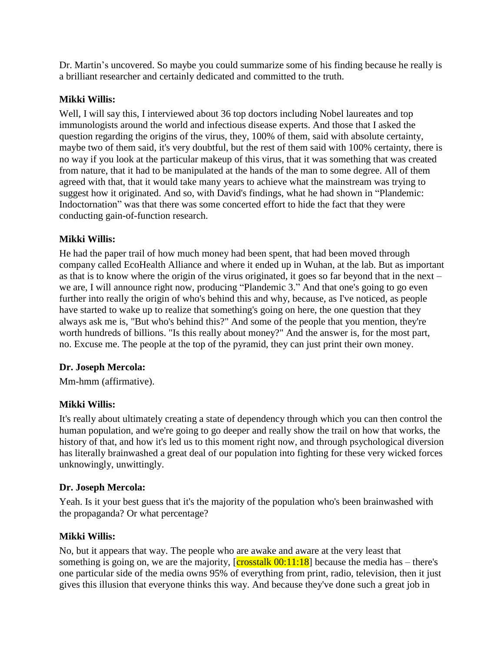Dr. Martin's uncovered. So maybe you could summarize some of his finding because he really is a brilliant researcher and certainly dedicated and committed to the truth.

### **Mikki Willis:**

Well, I will say this, I interviewed about 36 top doctors including Nobel laureates and top immunologists around the world and infectious disease experts. And those that I asked the question regarding the origins of the virus, they, 100% of them, said with absolute certainty, maybe two of them said, it's very doubtful, but the rest of them said with 100% certainty, there is no way if you look at the particular makeup of this virus, that it was something that was created from nature, that it had to be manipulated at the hands of the man to some degree. All of them agreed with that, that it would take many years to achieve what the mainstream was trying to suggest how it originated. And so, with David's findings, what he had shown in "Plandemic: Indoctornation" was that there was some concerted effort to hide the fact that they were conducting gain-of-function research.

### **Mikki Willis:**

He had the paper trail of how much money had been spent, that had been moved through company called EcoHealth Alliance and where it ended up in Wuhan, at the lab. But as important as that is to know where the origin of the virus originated, it goes so far beyond that in the next – we are, I will announce right now, producing "Plandemic 3." And that one's going to go even further into really the origin of who's behind this and why, because, as I've noticed, as people have started to wake up to realize that something's going on here, the one question that they always ask me is, "But who's behind this?" And some of the people that you mention, they're worth hundreds of billions. "Is this really about money?" And the answer is, for the most part, no. Excuse me. The people at the top of the pyramid, they can just print their own money.

# **Dr. Joseph Mercola:**

Mm-hmm (affirmative).

# **Mikki Willis:**

It's really about ultimately creating a state of dependency through which you can then control the human population, and we're going to go deeper and really show the trail on how that works, the history of that, and how it's led us to this moment right now, and through psychological diversion has literally brainwashed a great deal of our population into fighting for these very wicked forces unknowingly, unwittingly.

### **Dr. Joseph Mercola:**

Yeah. Is it your best guess that it's the majority of the population who's been brainwashed with the propaganda? Or what percentage?

### **Mikki Willis:**

No, but it appears that way. The people who are awake and aware at the very least that something is going on, we are the majority,  $\sqrt{\frac{\text{crosstalk } 00:11:18}}$  because the media has – there's one particular side of the media owns 95% of everything from print, radio, television, then it just gives this illusion that everyone thinks this way. And because they've done such a great job in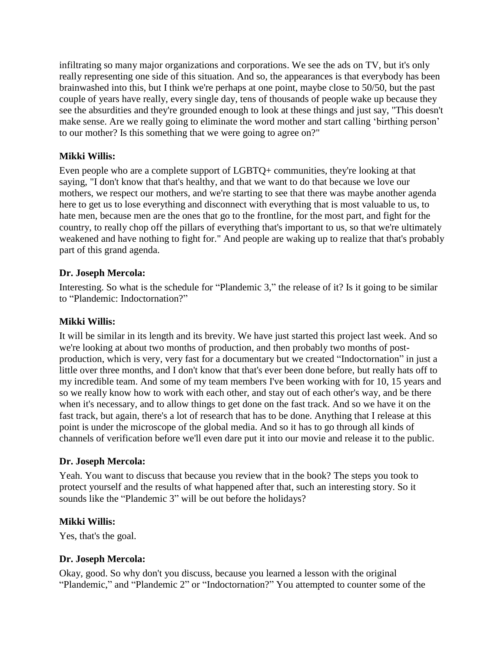infiltrating so many major organizations and corporations. We see the ads on TV, but it's only really representing one side of this situation. And so, the appearances is that everybody has been brainwashed into this, but I think we're perhaps at one point, maybe close to 50/50, but the past couple of years have really, every single day, tens of thousands of people wake up because they see the absurdities and they're grounded enough to look at these things and just say, "This doesn't make sense. Are we really going to eliminate the word mother and start calling 'birthing person' to our mother? Is this something that we were going to agree on?"

### **Mikki Willis:**

Even people who are a complete support of LGBTQ+ communities, they're looking at that saying, "I don't know that that's healthy, and that we want to do that because we love our mothers, we respect our mothers, and we're starting to see that there was maybe another agenda here to get us to lose everything and disconnect with everything that is most valuable to us, to hate men, because men are the ones that go to the frontline, for the most part, and fight for the country, to really chop off the pillars of everything that's important to us, so that we're ultimately weakened and have nothing to fight for." And people are waking up to realize that that's probably part of this grand agenda.

### **Dr. Joseph Mercola:**

Interesting. So what is the schedule for "Plandemic 3," the release of it? Is it going to be similar to "Plandemic: Indoctornation?"

### **Mikki Willis:**

It will be similar in its length and its brevity. We have just started this project last week. And so we're looking at about two months of production, and then probably two months of postproduction, which is very, very fast for a documentary but we created "Indoctornation" in just a little over three months, and I don't know that that's ever been done before, but really hats off to my incredible team. And some of my team members I've been working with for 10, 15 years and so we really know how to work with each other, and stay out of each other's way, and be there when it's necessary, and to allow things to get done on the fast track. And so we have it on the fast track, but again, there's a lot of research that has to be done. Anything that I release at this point is under the microscope of the global media. And so it has to go through all kinds of channels of verification before we'll even dare put it into our movie and release it to the public.

### **Dr. Joseph Mercola:**

Yeah. You want to discuss that because you review that in the book? The steps you took to protect yourself and the results of what happened after that, such an interesting story. So it sounds like the "Plandemic 3" will be out before the holidays?

### **Mikki Willis:**

Yes, that's the goal.

# **Dr. Joseph Mercola:**

Okay, good. So why don't you discuss, because you learned a lesson with the original "Plandemic," and "Plandemic 2" or "Indoctornation?" You attempted to counter some of the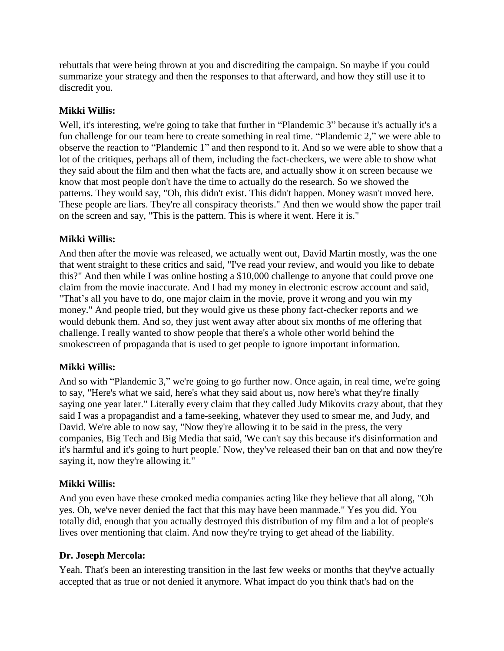rebuttals that were being thrown at you and discrediting the campaign. So maybe if you could summarize your strategy and then the responses to that afterward, and how they still use it to discredit you.

# **Mikki Willis:**

Well, it's interesting, we're going to take that further in "Plandemic 3" because it's actually it's a fun challenge for our team here to create something in real time. "Plandemic 2," we were able to observe the reaction to "Plandemic 1" and then respond to it. And so we were able to show that a lot of the critiques, perhaps all of them, including the fact-checkers, we were able to show what they said about the film and then what the facts are, and actually show it on screen because we know that most people don't have the time to actually do the research. So we showed the patterns. They would say, "Oh, this didn't exist. This didn't happen. Money wasn't moved here. These people are liars. They're all conspiracy theorists." And then we would show the paper trail on the screen and say, "This is the pattern. This is where it went. Here it is."

### **Mikki Willis:**

And then after the movie was released, we actually went out, David Martin mostly, was the one that went straight to these critics and said, "I've read your review, and would you like to debate this?" And then while I was online hosting a \$10,000 challenge to anyone that could prove one claim from the movie inaccurate. And I had my money in electronic escrow account and said, "That's all you have to do, one major claim in the movie, prove it wrong and you win my money." And people tried, but they would give us these phony fact-checker reports and we would debunk them. And so, they just went away after about six months of me offering that challenge. I really wanted to show people that there's a whole other world behind the smokescreen of propaganda that is used to get people to ignore important information.

### **Mikki Willis:**

And so with "Plandemic 3," we're going to go further now. Once again, in real time, we're going to say, "Here's what we said, here's what they said about us, now here's what they're finally saying one year later." Literally every claim that they called Judy Mikovits crazy about, that they said I was a propagandist and a fame-seeking, whatever they used to smear me, and Judy, and David. We're able to now say, "Now they're allowing it to be said in the press, the very companies, Big Tech and Big Media that said, 'We can't say this because it's disinformation and it's harmful and it's going to hurt people.' Now, they've released their ban on that and now they're saying it, now they're allowing it."

### **Mikki Willis:**

And you even have these crooked media companies acting like they believe that all along, "Oh yes. Oh, we've never denied the fact that this may have been manmade." Yes you did. You totally did, enough that you actually destroyed this distribution of my film and a lot of people's lives over mentioning that claim. And now they're trying to get ahead of the liability.

### **Dr. Joseph Mercola:**

Yeah. That's been an interesting transition in the last few weeks or months that they've actually accepted that as true or not denied it anymore. What impact do you think that's had on the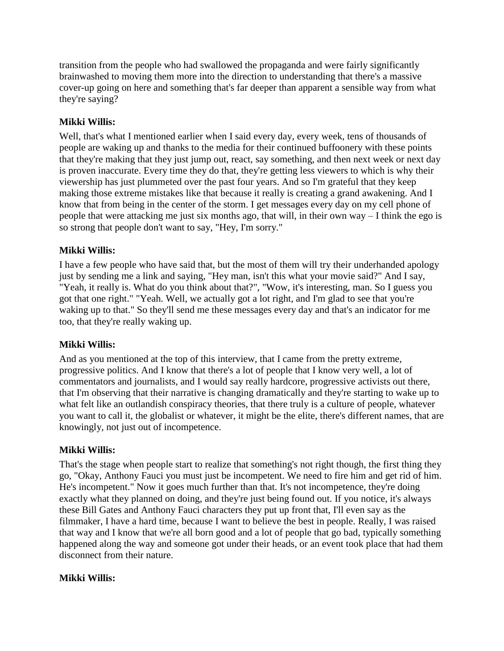transition from the people who had swallowed the propaganda and were fairly significantly brainwashed to moving them more into the direction to understanding that there's a massive cover-up going on here and something that's far deeper than apparent a sensible way from what they're saying?

# **Mikki Willis:**

Well, that's what I mentioned earlier when I said every day, every week, tens of thousands of people are waking up and thanks to the media for their continued buffoonery with these points that they're making that they just jump out, react, say something, and then next week or next day is proven inaccurate. Every time they do that, they're getting less viewers to which is why their viewership has just plummeted over the past four years. And so I'm grateful that they keep making those extreme mistakes like that because it really is creating a grand awakening. And I know that from being in the center of the storm. I get messages every day on my cell phone of people that were attacking me just six months ago, that will, in their own way – I think the ego is so strong that people don't want to say, "Hey, I'm sorry."

### **Mikki Willis:**

I have a few people who have said that, but the most of them will try their underhanded apology just by sending me a link and saying, "Hey man, isn't this what your movie said?" And I say, "Yeah, it really is. What do you think about that?", "Wow, it's interesting, man. So I guess you got that one right." "Yeah. Well, we actually got a lot right, and I'm glad to see that you're waking up to that." So they'll send me these messages every day and that's an indicator for me too, that they're really waking up.

### **Mikki Willis:**

And as you mentioned at the top of this interview, that I came from the pretty extreme, progressive politics. And I know that there's a lot of people that I know very well, a lot of commentators and journalists, and I would say really hardcore, progressive activists out there, that I'm observing that their narrative is changing dramatically and they're starting to wake up to what felt like an outlandish conspiracy theories, that there truly is a culture of people, whatever you want to call it, the globalist or whatever, it might be the elite, there's different names, that are knowingly, not just out of incompetence.

### **Mikki Willis:**

That's the stage when people start to realize that something's not right though, the first thing they go, "Okay, Anthony Fauci you must just be incompetent. We need to fire him and get rid of him. He's incompetent." Now it goes much further than that. It's not incompetence, they're doing exactly what they planned on doing, and they're just being found out. If you notice, it's always these Bill Gates and Anthony Fauci characters they put up front that, I'll even say as the filmmaker, I have a hard time, because I want to believe the best in people. Really, I was raised that way and I know that we're all born good and a lot of people that go bad, typically something happened along the way and someone got under their heads, or an event took place that had them disconnect from their nature.

### **Mikki Willis:**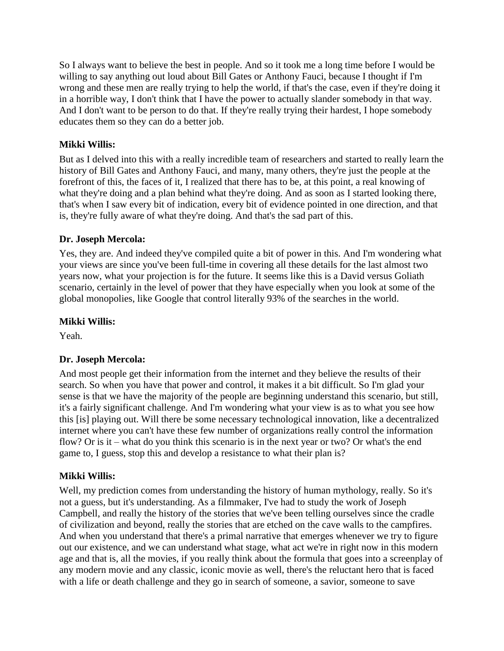So I always want to believe the best in people. And so it took me a long time before I would be willing to say anything out loud about Bill Gates or Anthony Fauci, because I thought if I'm wrong and these men are really trying to help the world, if that's the case, even if they're doing it in a horrible way, I don't think that I have the power to actually slander somebody in that way. And I don't want to be person to do that. If they're really trying their hardest, I hope somebody educates them so they can do a better job.

# **Mikki Willis:**

But as I delved into this with a really incredible team of researchers and started to really learn the history of Bill Gates and Anthony Fauci, and many, many others, they're just the people at the forefront of this, the faces of it, I realized that there has to be, at this point, a real knowing of what they're doing and a plan behind what they're doing. And as soon as I started looking there, that's when I saw every bit of indication, every bit of evidence pointed in one direction, and that is, they're fully aware of what they're doing. And that's the sad part of this.

# **Dr. Joseph Mercola:**

Yes, they are. And indeed they've compiled quite a bit of power in this. And I'm wondering what your views are since you've been full-time in covering all these details for the last almost two years now, what your projection is for the future. It seems like this is a David versus Goliath scenario, certainly in the level of power that they have especially when you look at some of the global monopolies, like Google that control literally 93% of the searches in the world.

# **Mikki Willis:**

Yeah.

# **Dr. Joseph Mercola:**

And most people get their information from the internet and they believe the results of their search. So when you have that power and control, it makes it a bit difficult. So I'm glad your sense is that we have the majority of the people are beginning understand this scenario, but still, it's a fairly significant challenge. And I'm wondering what your view is as to what you see how this [is] playing out. Will there be some necessary technological innovation, like a decentralized internet where you can't have these few number of organizations really control the information flow? Or is it – what do you think this scenario is in the next year or two? Or what's the end game to, I guess, stop this and develop a resistance to what their plan is?

# **Mikki Willis:**

Well, my prediction comes from understanding the history of human mythology, really. So it's not a guess, but it's understanding. As a filmmaker, I've had to study the work of Joseph Campbell, and really the history of the stories that we've been telling ourselves since the cradle of civilization and beyond, really the stories that are etched on the cave walls to the campfires. And when you understand that there's a primal narrative that emerges whenever we try to figure out our existence, and we can understand what stage, what act we're in right now in this modern age and that is, all the movies, if you really think about the formula that goes into a screenplay of any modern movie and any classic, iconic movie as well, there's the reluctant hero that is faced with a life or death challenge and they go in search of someone, a savior, someone to save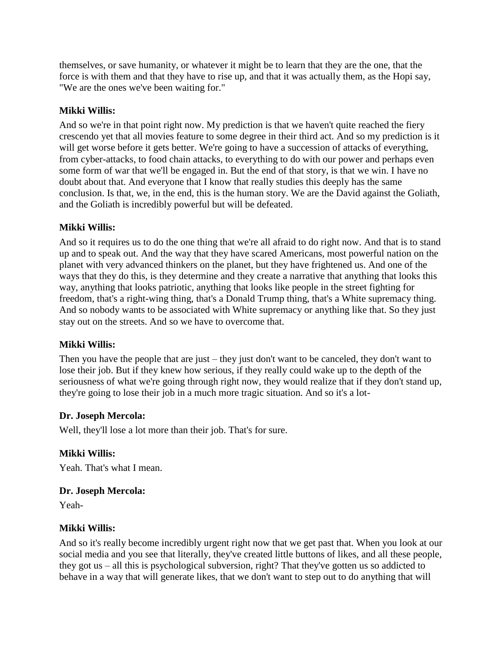themselves, or save humanity, or whatever it might be to learn that they are the one, that the force is with them and that they have to rise up, and that it was actually them, as the Hopi say, "We are the ones we've been waiting for."

### **Mikki Willis:**

And so we're in that point right now. My prediction is that we haven't quite reached the fiery crescendo yet that all movies feature to some degree in their third act. And so my prediction is it will get worse before it gets better. We're going to have a succession of attacks of everything, from cyber-attacks, to food chain attacks, to everything to do with our power and perhaps even some form of war that we'll be engaged in. But the end of that story, is that we win. I have no doubt about that. And everyone that I know that really studies this deeply has the same conclusion. Is that, we, in the end, this is the human story. We are the David against the Goliath, and the Goliath is incredibly powerful but will be defeated.

### **Mikki Willis:**

And so it requires us to do the one thing that we're all afraid to do right now. And that is to stand up and to speak out. And the way that they have scared Americans, most powerful nation on the planet with very advanced thinkers on the planet, but they have frightened us. And one of the ways that they do this, is they determine and they create a narrative that anything that looks this way, anything that looks patriotic, anything that looks like people in the street fighting for freedom, that's a right-wing thing, that's a Donald Trump thing, that's a White supremacy thing. And so nobody wants to be associated with White supremacy or anything like that. So they just stay out on the streets. And so we have to overcome that.

#### **Mikki Willis:**

Then you have the people that are just – they just don't want to be canceled, they don't want to lose their job. But if they knew how serious, if they really could wake up to the depth of the seriousness of what we're going through right now, they would realize that if they don't stand up, they're going to lose their job in a much more tragic situation. And so it's a lot-

### **Dr. Joseph Mercola:**

Well, they'll lose a lot more than their job. That's for sure.

### **Mikki Willis:**

Yeah. That's what I mean.

### **Dr. Joseph Mercola:**

Yeah-

### **Mikki Willis:**

And so it's really become incredibly urgent right now that we get past that. When you look at our social media and you see that literally, they've created little buttons of likes, and all these people, they got us – all this is psychological subversion, right? That they've gotten us so addicted to behave in a way that will generate likes, that we don't want to step out to do anything that will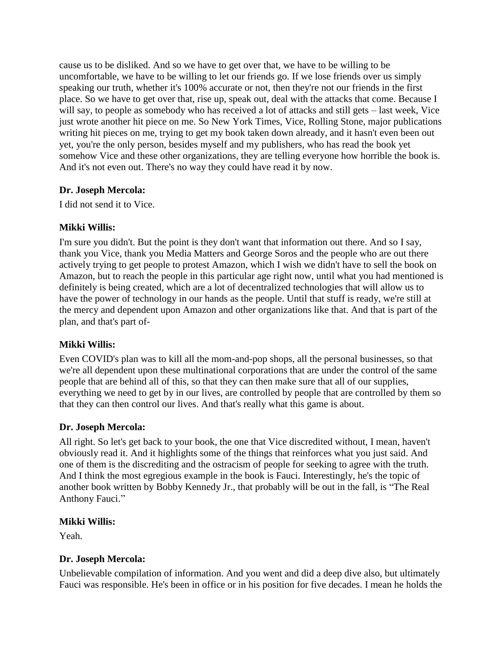cause us to be disliked. And so we have to get over that, we have to be willing to be uncomfortable, we have to be willing to let our friends go. If we lose friends over us simply speaking our truth, whether it's 100% accurate or not, then they're not our friends in the first place. So we have to get over that, rise up, speak out, deal with the attacks that come. Because I will say, to people as somebody who has received a lot of attacks and still gets – last week, Vice just wrote another hit piece on me. So New York Times, Vice, Rolling Stone, major publications writing hit pieces on me, trying to get my book taken down already, and it hasn't even been out yet, you're the only person, besides myself and my publishers, who has read the book yet somehow Vice and these other organizations, they are telling everyone how horrible the book is. And it's not even out. There's no way they could have read it by now.

# **Dr. Joseph Mercola:**

I did not send it to Vice.

### **Mikki Willis:**

I'm sure you didn't. But the point is they don't want that information out there. And so I say, thank you Vice, thank you Media Matters and George Soros and the people who are out there actively trying to get people to protest Amazon, which I wish we didn't have to sell the book on Amazon, but to reach the people in this particular age right now, until what you had mentioned is definitely is being created, which are a lot of decentralized technologies that will allow us to have the power of technology in our hands as the people. Until that stuff is ready, we're still at the mercy and dependent upon Amazon and other organizations like that. And that is part of the plan, and that's part of-

# **Mikki Willis:**

Even COVID's plan was to kill all the mom-and-pop shops, all the personal businesses, so that we're all dependent upon these multinational corporations that are under the control of the same people that are behind all of this, so that they can then make sure that all of our supplies, everything we need to get by in our lives, are controlled by people that are controlled by them so that they can then control our lives. And that's really what this game is about.

### **Dr. Joseph Mercola:**

All right. So let's get back to your book, the one that Vice discredited without, I mean, haven't obviously read it. And it highlights some of the things that reinforces what you just said. And one of them is the discrediting and the ostracism of people for seeking to agree with the truth. And I think the most egregious example in the book is Fauci. Interestingly, he's the topic of another book written by Bobby Kennedy Jr., that probably will be out in the fall, is "The Real Anthony Fauci."

### **Mikki Willis:**

Yeah.

# **Dr. Joseph Mercola:**

Unbelievable compilation of information. And you went and did a deep dive also, but ultimately Fauci was responsible. He's been in office or in his position for five decades. I mean he holds the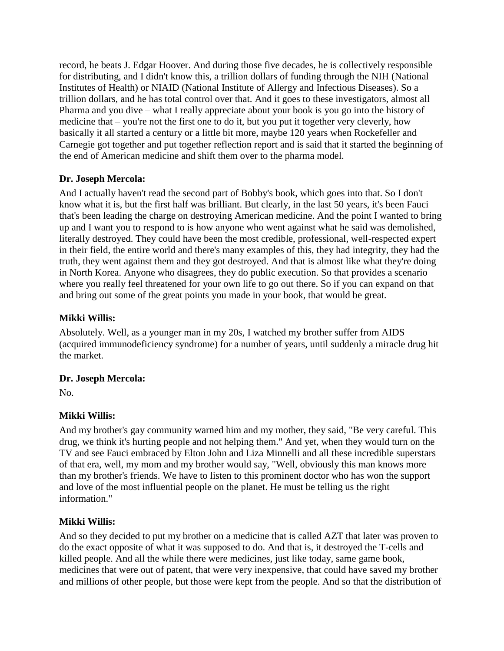record, he beats J. Edgar Hoover. And during those five decades, he is collectively responsible for distributing, and I didn't know this, a trillion dollars of funding through the NIH (National Institutes of Health) or NIAID (National Institute of Allergy and Infectious Diseases). So a trillion dollars, and he has total control over that. And it goes to these investigators, almost all Pharma and you dive – what I really appreciate about your book is you go into the history of medicine that – you're not the first one to do it, but you put it together very cleverly, how basically it all started a century or a little bit more, maybe 120 years when Rockefeller and Carnegie got together and put together reflection report and is said that it started the beginning of the end of American medicine and shift them over to the pharma model.

# **Dr. Joseph Mercola:**

And I actually haven't read the second part of Bobby's book, which goes into that. So I don't know what it is, but the first half was brilliant. But clearly, in the last 50 years, it's been Fauci that's been leading the charge on destroying American medicine. And the point I wanted to bring up and I want you to respond to is how anyone who went against what he said was demolished, literally destroyed. They could have been the most credible, professional, well-respected expert in their field, the entire world and there's many examples of this, they had integrity, they had the truth, they went against them and they got destroyed. And that is almost like what they're doing in North Korea. Anyone who disagrees, they do public execution. So that provides a scenario where you really feel threatened for your own life to go out there. So if you can expand on that and bring out some of the great points you made in your book, that would be great.

# **Mikki Willis:**

Absolutely. Well, as a younger man in my 20s, I watched my brother suffer from AIDS (acquired immunodeficiency syndrome) for a number of years, until suddenly a miracle drug hit the market.

# **Dr. Joseph Mercola:**

No.

# **Mikki Willis:**

And my brother's gay community warned him and my mother, they said, "Be very careful. This drug, we think it's hurting people and not helping them." And yet, when they would turn on the TV and see Fauci embraced by Elton John and Liza Minnelli and all these incredible superstars of that era, well, my mom and my brother would say, "Well, obviously this man knows more than my brother's friends. We have to listen to this prominent doctor who has won the support and love of the most influential people on the planet. He must be telling us the right information."

# **Mikki Willis:**

And so they decided to put my brother on a medicine that is called AZT that later was proven to do the exact opposite of what it was supposed to do. And that is, it destroyed the T-cells and killed people. And all the while there were medicines, just like today, same game book, medicines that were out of patent, that were very inexpensive, that could have saved my brother and millions of other people, but those were kept from the people. And so that the distribution of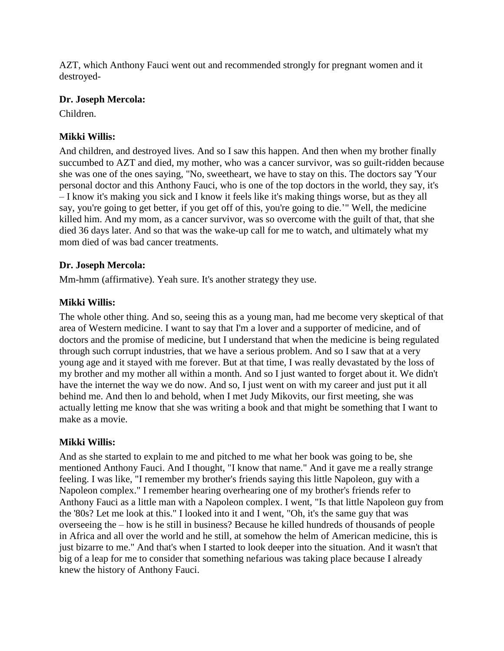AZT, which Anthony Fauci went out and recommended strongly for pregnant women and it destroyed-

### **Dr. Joseph Mercola:**

Children.

# **Mikki Willis:**

And children, and destroyed lives. And so I saw this happen. And then when my brother finally succumbed to AZT and died, my mother, who was a cancer survivor, was so guilt-ridden because she was one of the ones saying, "No, sweetheart, we have to stay on this. The doctors say 'Your personal doctor and this Anthony Fauci, who is one of the top doctors in the world, they say, it's – I know it's making you sick and I know it feels like it's making things worse, but as they all say, you're going to get better, if you get off of this, you're going to die.'" Well, the medicine killed him. And my mom, as a cancer survivor, was so overcome with the guilt of that, that she died 36 days later. And so that was the wake-up call for me to watch, and ultimately what my mom died of was bad cancer treatments.

# **Dr. Joseph Mercola:**

Mm-hmm (affirmative). Yeah sure. It's another strategy they use.

# **Mikki Willis:**

The whole other thing. And so, seeing this as a young man, had me become very skeptical of that area of Western medicine. I want to say that I'm a lover and a supporter of medicine, and of doctors and the promise of medicine, but I understand that when the medicine is being regulated through such corrupt industries, that we have a serious problem. And so I saw that at a very young age and it stayed with me forever. But at that time, I was really devastated by the loss of my brother and my mother all within a month. And so I just wanted to forget about it. We didn't have the internet the way we do now. And so, I just went on with my career and just put it all behind me. And then lo and behold, when I met Judy Mikovits, our first meeting, she was actually letting me know that she was writing a book and that might be something that I want to make as a movie.

# **Mikki Willis:**

And as she started to explain to me and pitched to me what her book was going to be, she mentioned Anthony Fauci. And I thought, "I know that name." And it gave me a really strange feeling. I was like, "I remember my brother's friends saying this little Napoleon, guy with a Napoleon complex." I remember hearing overhearing one of my brother's friends refer to Anthony Fauci as a little man with a Napoleon complex. I went, "Is that little Napoleon guy from the '80s? Let me look at this." I looked into it and I went, "Oh, it's the same guy that was overseeing the – how is he still in business? Because he killed hundreds of thousands of people in Africa and all over the world and he still, at somehow the helm of American medicine, this is just bizarre to me." And that's when I started to look deeper into the situation. And it wasn't that big of a leap for me to consider that something nefarious was taking place because I already knew the history of Anthony Fauci.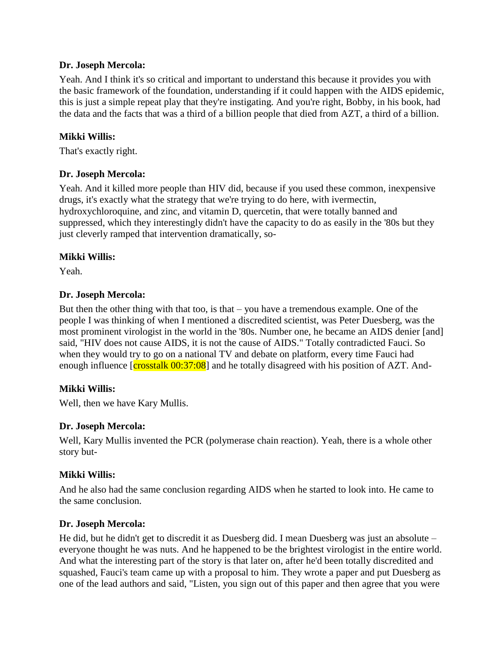### **Dr. Joseph Mercola:**

Yeah. And I think it's so critical and important to understand this because it provides you with the basic framework of the foundation, understanding if it could happen with the AIDS epidemic, this is just a simple repeat play that they're instigating. And you're right, Bobby, in his book, had the data and the facts that was a third of a billion people that died from AZT, a third of a billion.

### **Mikki Willis:**

That's exactly right.

### **Dr. Joseph Mercola:**

Yeah. And it killed more people than HIV did, because if you used these common, inexpensive drugs, it's exactly what the strategy that we're trying to do here, with ivermectin, hydroxychloroquine, and zinc, and vitamin D, quercetin, that were totally banned and suppressed, which they interestingly didn't have the capacity to do as easily in the '80s but they just cleverly ramped that intervention dramatically, so-

### **Mikki Willis:**

Yeah.

### **Dr. Joseph Mercola:**

But then the other thing with that too, is that – you have a tremendous example. One of the people I was thinking of when I mentioned a discredited scientist, was Peter Duesberg, was the most prominent virologist in the world in the '80s. Number one, he became an AIDS denier [and] said, "HIV does not cause AIDS, it is not the cause of AIDS." Totally contradicted Fauci. So when they would try to go on a national TV and debate on platform, every time Fauci had enough influence [crosstalk 00:37:08] and he totally disagreed with his position of AZT. And-

### **Mikki Willis:**

Well, then we have Kary Mullis.

### **Dr. Joseph Mercola:**

Well, Kary Mullis invented the PCR (polymerase chain reaction). Yeah, there is a whole other story but-

### **Mikki Willis:**

And he also had the same conclusion regarding AIDS when he started to look into. He came to the same conclusion.

### **Dr. Joseph Mercola:**

He did, but he didn't get to discredit it as Duesberg did. I mean Duesberg was just an absolute – everyone thought he was nuts. And he happened to be the brightest virologist in the entire world. And what the interesting part of the story is that later on, after he'd been totally discredited and squashed, Fauci's team came up with a proposal to him. They wrote a paper and put Duesberg as one of the lead authors and said, "Listen, you sign out of this paper and then agree that you were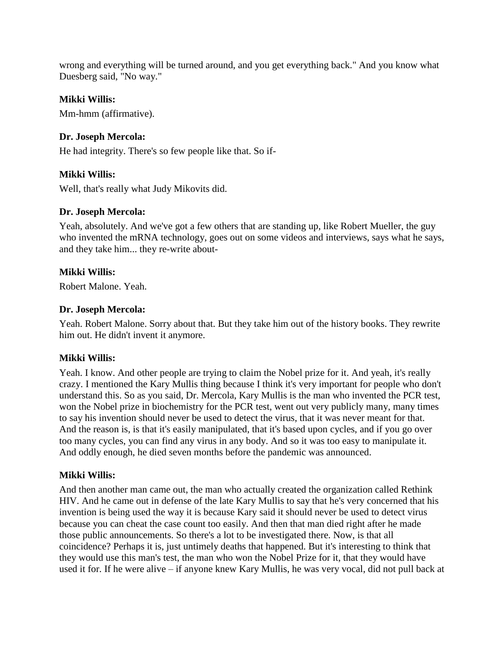wrong and everything will be turned around, and you get everything back." And you know what Duesberg said, "No way."

### **Mikki Willis:**

Mm-hmm (affirmative).

### **Dr. Joseph Mercola:**

He had integrity. There's so few people like that. So if-

### **Mikki Willis:**

Well, that's really what Judy Mikovits did.

### **Dr. Joseph Mercola:**

Yeah, absolutely. And we've got a few others that are standing up, like Robert Mueller, the guy who invented the mRNA technology, goes out on some videos and interviews, says what he says, and they take him... they re-write about-

### **Mikki Willis:**

Robert Malone. Yeah.

### **Dr. Joseph Mercola:**

Yeah. Robert Malone. Sorry about that. But they take him out of the history books. They rewrite him out. He didn't invent it anymore.

# **Mikki Willis:**

Yeah. I know. And other people are trying to claim the Nobel prize for it. And yeah, it's really crazy. I mentioned the Kary Mullis thing because I think it's very important for people who don't understand this. So as you said, Dr. Mercola, Kary Mullis is the man who invented the PCR test, won the Nobel prize in biochemistry for the PCR test, went out very publicly many, many times to say his invention should never be used to detect the virus, that it was never meant for that. And the reason is, is that it's easily manipulated, that it's based upon cycles, and if you go over too many cycles, you can find any virus in any body. And so it was too easy to manipulate it. And oddly enough, he died seven months before the pandemic was announced.

### **Mikki Willis:**

And then another man came out, the man who actually created the organization called Rethink HIV. And he came out in defense of the late Kary Mullis to say that he's very concerned that his invention is being used the way it is because Kary said it should never be used to detect virus because you can cheat the case count too easily. And then that man died right after he made those public announcements. So there's a lot to be investigated there. Now, is that all coincidence? Perhaps it is, just untimely deaths that happened. But it's interesting to think that they would use this man's test, the man who won the Nobel Prize for it, that they would have used it for. If he were alive – if anyone knew Kary Mullis, he was very vocal, did not pull back at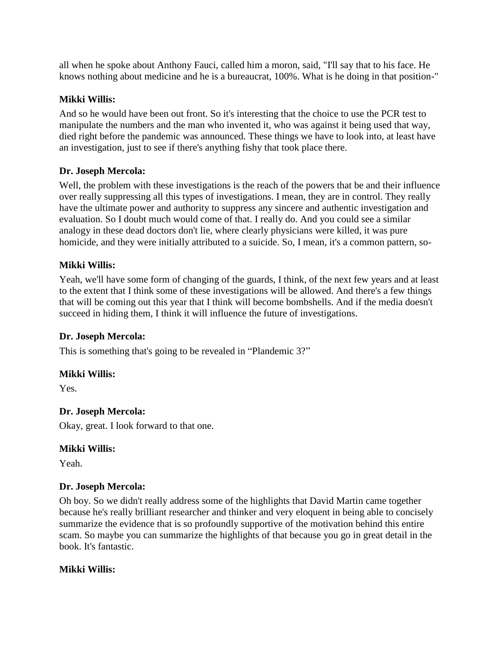all when he spoke about Anthony Fauci, called him a moron, said, "I'll say that to his face. He knows nothing about medicine and he is a bureaucrat, 100%. What is he doing in that position-"

### **Mikki Willis:**

And so he would have been out front. So it's interesting that the choice to use the PCR test to manipulate the numbers and the man who invented it, who was against it being used that way, died right before the pandemic was announced. These things we have to look into, at least have an investigation, just to see if there's anything fishy that took place there.

### **Dr. Joseph Mercola:**

Well, the problem with these investigations is the reach of the powers that be and their influence over really suppressing all this types of investigations. I mean, they are in control. They really have the ultimate power and authority to suppress any sincere and authentic investigation and evaluation. So I doubt much would come of that. I really do. And you could see a similar analogy in these dead doctors don't lie, where clearly physicians were killed, it was pure homicide, and they were initially attributed to a suicide. So, I mean, it's a common pattern, so-

# **Mikki Willis:**

Yeah, we'll have some form of changing of the guards, I think, of the next few years and at least to the extent that I think some of these investigations will be allowed. And there's a few things that will be coming out this year that I think will become bombshells. And if the media doesn't succeed in hiding them, I think it will influence the future of investigations.

# **Dr. Joseph Mercola:**

This is something that's going to be revealed in "Plandemic 3?"

### **Mikki Willis:**

Yes.

# **Dr. Joseph Mercola:**

Okay, great. I look forward to that one.

### **Mikki Willis:**

Yeah.

# **Dr. Joseph Mercola:**

Oh boy. So we didn't really address some of the highlights that David Martin came together because he's really brilliant researcher and thinker and very eloquent in being able to concisely summarize the evidence that is so profoundly supportive of the motivation behind this entire scam. So maybe you can summarize the highlights of that because you go in great detail in the book. It's fantastic.

### **Mikki Willis:**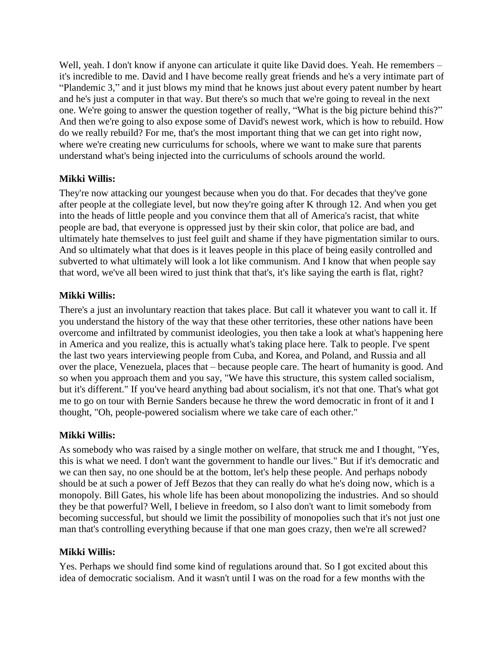Well, yeah. I don't know if anyone can articulate it quite like David does. Yeah. He remembers – it's incredible to me. David and I have become really great friends and he's a very intimate part of "Plandemic 3," and it just blows my mind that he knows just about every patent number by heart and he's just a computer in that way. But there's so much that we're going to reveal in the next one. We're going to answer the question together of really, "What is the big picture behind this?" And then we're going to also expose some of David's newest work, which is how to rebuild. How do we really rebuild? For me, that's the most important thing that we can get into right now, where we're creating new curriculums for schools, where we want to make sure that parents understand what's being injected into the curriculums of schools around the world.

### **Mikki Willis:**

They're now attacking our youngest because when you do that. For decades that they've gone after people at the collegiate level, but now they're going after K through 12. And when you get into the heads of little people and you convince them that all of America's racist, that white people are bad, that everyone is oppressed just by their skin color, that police are bad, and ultimately hate themselves to just feel guilt and shame if they have pigmentation similar to ours. And so ultimately what that does is it leaves people in this place of being easily controlled and subverted to what ultimately will look a lot like communism. And I know that when people say that word, we've all been wired to just think that that's, it's like saying the earth is flat, right?

### **Mikki Willis:**

There's a just an involuntary reaction that takes place. But call it whatever you want to call it. If you understand the history of the way that these other territories, these other nations have been overcome and infiltrated by communist ideologies, you then take a look at what's happening here in America and you realize, this is actually what's taking place here. Talk to people. I've spent the last two years interviewing people from Cuba, and Korea, and Poland, and Russia and all over the place, Venezuela, places that – because people care. The heart of humanity is good. And so when you approach them and you say, "We have this structure, this system called socialism, but it's different." If you've heard anything bad about socialism, it's not that one. That's what got me to go on tour with Bernie Sanders because he threw the word democratic in front of it and I thought, "Oh, people-powered socialism where we take care of each other."

### **Mikki Willis:**

As somebody who was raised by a single mother on welfare, that struck me and I thought, "Yes, this is what we need. I don't want the government to handle our lives." But if it's democratic and we can then say, no one should be at the bottom, let's help these people. And perhaps nobody should be at such a power of Jeff Bezos that they can really do what he's doing now, which is a monopoly. Bill Gates, his whole life has been about monopolizing the industries. And so should they be that powerful? Well, I believe in freedom, so I also don't want to limit somebody from becoming successful, but should we limit the possibility of monopolies such that it's not just one man that's controlling everything because if that one man goes crazy, then we're all screwed?

# **Mikki Willis:**

Yes. Perhaps we should find some kind of regulations around that. So I got excited about this idea of democratic socialism. And it wasn't until I was on the road for a few months with the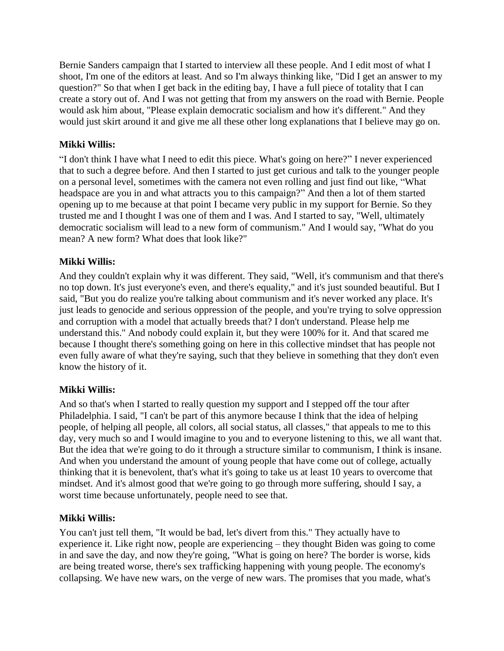Bernie Sanders campaign that I started to interview all these people. And I edit most of what I shoot, I'm one of the editors at least. And so I'm always thinking like, "Did I get an answer to my question?" So that when I get back in the editing bay, I have a full piece of totality that I can create a story out of. And I was not getting that from my answers on the road with Bernie. People would ask him about, "Please explain democratic socialism and how it's different." And they would just skirt around it and give me all these other long explanations that I believe may go on.

# **Mikki Willis:**

"I don't think I have what I need to edit this piece. What's going on here?" I never experienced that to such a degree before. And then I started to just get curious and talk to the younger people on a personal level, sometimes with the camera not even rolling and just find out like, "What headspace are you in and what attracts you to this campaign?" And then a lot of them started opening up to me because at that point I became very public in my support for Bernie. So they trusted me and I thought I was one of them and I was. And I started to say, "Well, ultimately democratic socialism will lead to a new form of communism." And I would say, "What do you mean? A new form? What does that look like?"

# **Mikki Willis:**

And they couldn't explain why it was different. They said, "Well, it's communism and that there's no top down. It's just everyone's even, and there's equality," and it's just sounded beautiful. But I said, "But you do realize you're talking about communism and it's never worked any place. It's just leads to genocide and serious oppression of the people, and you're trying to solve oppression and corruption with a model that actually breeds that? I don't understand. Please help me understand this." And nobody could explain it, but they were 100% for it. And that scared me because I thought there's something going on here in this collective mindset that has people not even fully aware of what they're saying, such that they believe in something that they don't even know the history of it.

# **Mikki Willis:**

And so that's when I started to really question my support and I stepped off the tour after Philadelphia. I said, "I can't be part of this anymore because I think that the idea of helping people, of helping all people, all colors, all social status, all classes," that appeals to me to this day, very much so and I would imagine to you and to everyone listening to this, we all want that. But the idea that we're going to do it through a structure similar to communism, I think is insane. And when you understand the amount of young people that have come out of college, actually thinking that it is benevolent, that's what it's going to take us at least 10 years to overcome that mindset. And it's almost good that we're going to go through more suffering, should I say, a worst time because unfortunately, people need to see that.

# **Mikki Willis:**

You can't just tell them, "It would be bad, let's divert from this." They actually have to experience it. Like right now, people are experiencing – they thought Biden was going to come in and save the day, and now they're going, "What is going on here? The border is worse, kids are being treated worse, there's sex trafficking happening with young people. The economy's collapsing. We have new wars, on the verge of new wars. The promises that you made, what's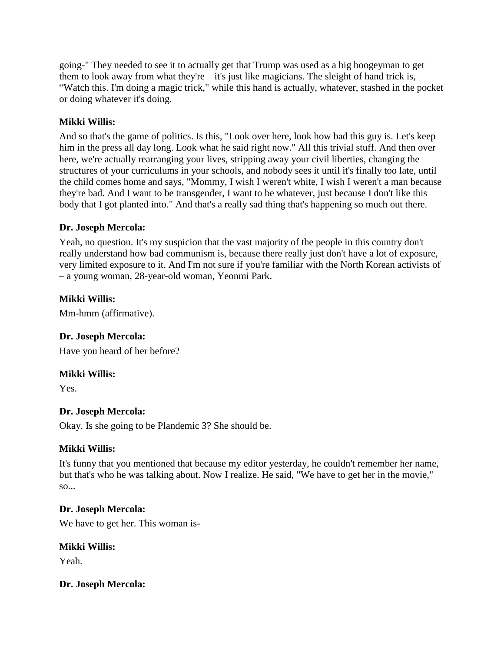going-" They needed to see it to actually get that Trump was used as a big boogeyman to get them to look away from what they're  $-$  it's just like magicians. The sleight of hand trick is, "Watch this. I'm doing a magic trick," while this hand is actually, whatever, stashed in the pocket or doing whatever it's doing.

# **Mikki Willis:**

And so that's the game of politics. Is this, "Look over here, look how bad this guy is. Let's keep him in the press all day long. Look what he said right now." All this trivial stuff. And then over here, we're actually rearranging your lives, stripping away your civil liberties, changing the structures of your curriculums in your schools, and nobody sees it until it's finally too late, until the child comes home and says, "Mommy, I wish I weren't white, I wish I weren't a man because they're bad. And I want to be transgender, I want to be whatever, just because I don't like this body that I got planted into." And that's a really sad thing that's happening so much out there.

# **Dr. Joseph Mercola:**

Yeah, no question. It's my suspicion that the vast majority of the people in this country don't really understand how bad communism is, because there really just don't have a lot of exposure, very limited exposure to it. And I'm not sure if you're familiar with the North Korean activists of – a young woman, 28-year-old woman, Yeonmi Park.

# **Mikki Willis:**

Mm-hmm (affirmative).

# **Dr. Joseph Mercola:**

Have you heard of her before?

# **Mikki Willis:**

Yes.

# **Dr. Joseph Mercola:**

Okay. Is she going to be Plandemic 3? She should be.

# **Mikki Willis:**

It's funny that you mentioned that because my editor yesterday, he couldn't remember her name, but that's who he was talking about. Now I realize. He said, "We have to get her in the movie,"  $SO<sub>1</sub>$ .

# **Dr. Joseph Mercola:**

We have to get her. This woman is-

# **Mikki Willis:**

Yeah.

# **Dr. Joseph Mercola:**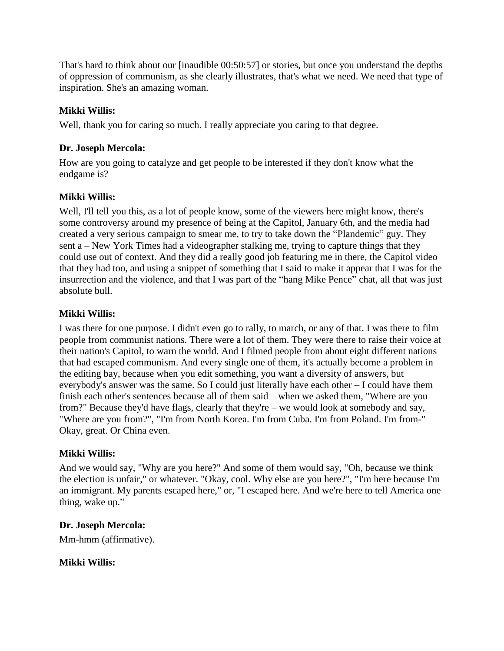That's hard to think about our [inaudible 00:50:57] or stories, but once you understand the depths of oppression of communism, as she clearly illustrates, that's what we need. We need that type of inspiration. She's an amazing woman.

# **Mikki Willis:**

Well, thank you for caring so much. I really appreciate you caring to that degree.

# **Dr. Joseph Mercola:**

How are you going to catalyze and get people to be interested if they don't know what the endgame is?

# **Mikki Willis:**

Well, I'll tell you this, as a lot of people know, some of the viewers here might know, there's some controversy around my presence of being at the Capitol, January 6th, and the media had created a very serious campaign to smear me, to try to take down the "Plandemic" guy. They sent a – New York Times had a videographer stalking me, trying to capture things that they could use out of context. And they did a really good job featuring me in there, the Capitol video that they had too, and using a snippet of something that I said to make it appear that I was for the insurrection and the violence, and that I was part of the "hang Mike Pence" chat, all that was just absolute bull.

# **Mikki Willis:**

I was there for one purpose. I didn't even go to rally, to march, or any of that. I was there to film people from communist nations. There were a lot of them. They were there to raise their voice at their nation's Capitol, to warn the world. And I filmed people from about eight different nations that had escaped communism. And every single one of them, it's actually become a problem in the editing bay, because when you edit something, you want a diversity of answers, but everybody's answer was the same. So I could just literally have each other – I could have them finish each other's sentences because all of them said – when we asked them, "Where are you from?" Because they'd have flags, clearly that they're – we would look at somebody and say, "Where are you from?", "I'm from North Korea. I'm from Cuba. I'm from Poland. I'm from-" Okay, great. Or China even.

# **Mikki Willis:**

And we would say, "Why are you here?" And some of them would say, "Oh, because we think the election is unfair," or whatever. "Okay, cool. Why else are you here?", "I'm here because I'm an immigrant. My parents escaped here," or, "I escaped here. And we're here to tell America one thing, wake up."

# **Dr. Joseph Mercola:**

Mm-hmm (affirmative).

**Mikki Willis:**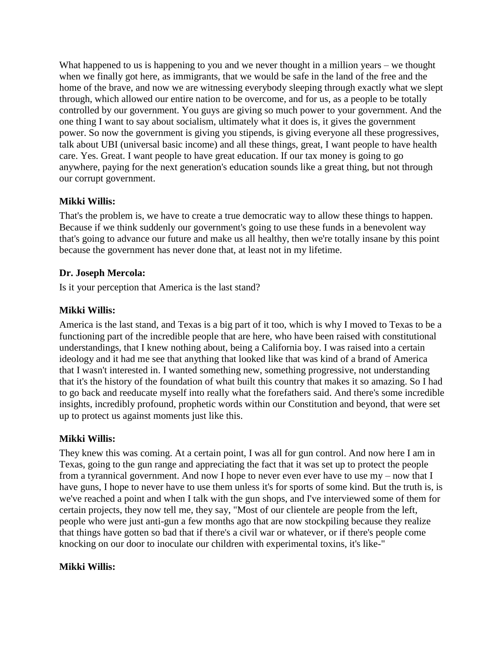What happened to us is happening to you and we never thought in a million years – we thought when we finally got here, as immigrants, that we would be safe in the land of the free and the home of the brave, and now we are witnessing everybody sleeping through exactly what we slept through, which allowed our entire nation to be overcome, and for us, as a people to be totally controlled by our government. You guys are giving so much power to your government. And the one thing I want to say about socialism, ultimately what it does is, it gives the government power. So now the government is giving you stipends, is giving everyone all these progressives, talk about UBI (universal basic income) and all these things, great, I want people to have health care. Yes. Great. I want people to have great education. If our tax money is going to go anywhere, paying for the next generation's education sounds like a great thing, but not through our corrupt government.

# **Mikki Willis:**

That's the problem is, we have to create a true democratic way to allow these things to happen. Because if we think suddenly our government's going to use these funds in a benevolent way that's going to advance our future and make us all healthy, then we're totally insane by this point because the government has never done that, at least not in my lifetime.

# **Dr. Joseph Mercola:**

Is it your perception that America is the last stand?

# **Mikki Willis:**

America is the last stand, and Texas is a big part of it too, which is why I moved to Texas to be a functioning part of the incredible people that are here, who have been raised with constitutional understandings, that I knew nothing about, being a California boy. I was raised into a certain ideology and it had me see that anything that looked like that was kind of a brand of America that I wasn't interested in. I wanted something new, something progressive, not understanding that it's the history of the foundation of what built this country that makes it so amazing. So I had to go back and reeducate myself into really what the forefathers said. And there's some incredible insights, incredibly profound, prophetic words within our Constitution and beyond, that were set up to protect us against moments just like this.

# **Mikki Willis:**

They knew this was coming. At a certain point, I was all for gun control. And now here I am in Texas, going to the gun range and appreciating the fact that it was set up to protect the people from a tyrannical government. And now I hope to never even ever have to use my – now that I have guns, I hope to never have to use them unless it's for sports of some kind. But the truth is, is we've reached a point and when I talk with the gun shops, and I've interviewed some of them for certain projects, they now tell me, they say, "Most of our clientele are people from the left, people who were just anti-gun a few months ago that are now stockpiling because they realize that things have gotten so bad that if there's a civil war or whatever, or if there's people come knocking on our door to inoculate our children with experimental toxins, it's like-"

### **Mikki Willis:**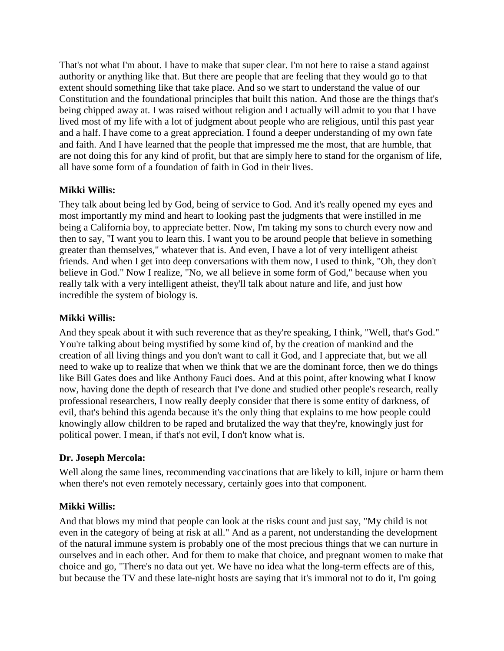That's not what I'm about. I have to make that super clear. I'm not here to raise a stand against authority or anything like that. But there are people that are feeling that they would go to that extent should something like that take place. And so we start to understand the value of our Constitution and the foundational principles that built this nation. And those are the things that's being chipped away at. I was raised without religion and I actually will admit to you that I have lived most of my life with a lot of judgment about people who are religious, until this past year and a half. I have come to a great appreciation. I found a deeper understanding of my own fate and faith. And I have learned that the people that impressed me the most, that are humble, that are not doing this for any kind of profit, but that are simply here to stand for the organism of life, all have some form of a foundation of faith in God in their lives.

# **Mikki Willis:**

They talk about being led by God, being of service to God. And it's really opened my eyes and most importantly my mind and heart to looking past the judgments that were instilled in me being a California boy, to appreciate better. Now, I'm taking my sons to church every now and then to say, "I want you to learn this. I want you to be around people that believe in something greater than themselves," whatever that is. And even, I have a lot of very intelligent atheist friends. And when I get into deep conversations with them now, I used to think, "Oh, they don't believe in God." Now I realize, "No, we all believe in some form of God," because when you really talk with a very intelligent atheist, they'll talk about nature and life, and just how incredible the system of biology is.

### **Mikki Willis:**

And they speak about it with such reverence that as they're speaking, I think, "Well, that's God." You're talking about being mystified by some kind of, by the creation of mankind and the creation of all living things and you don't want to call it God, and I appreciate that, but we all need to wake up to realize that when we think that we are the dominant force, then we do things like Bill Gates does and like Anthony Fauci does. And at this point, after knowing what I know now, having done the depth of research that I've done and studied other people's research, really professional researchers, I now really deeply consider that there is some entity of darkness, of evil, that's behind this agenda because it's the only thing that explains to me how people could knowingly allow children to be raped and brutalized the way that they're, knowingly just for political power. I mean, if that's not evil, I don't know what is.

### **Dr. Joseph Mercola:**

Well along the same lines, recommending vaccinations that are likely to kill, injure or harm them when there's not even remotely necessary, certainly goes into that component.

# **Mikki Willis:**

And that blows my mind that people can look at the risks count and just say, "My child is not even in the category of being at risk at all." And as a parent, not understanding the development of the natural immune system is probably one of the most precious things that we can nurture in ourselves and in each other. And for them to make that choice, and pregnant women to make that choice and go, "There's no data out yet. We have no idea what the long-term effects are of this, but because the TV and these late-night hosts are saying that it's immoral not to do it, I'm going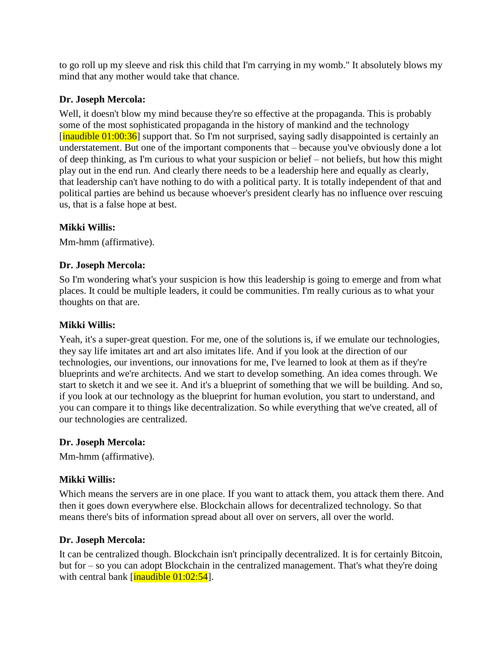to go roll up my sleeve and risk this child that I'm carrying in my womb." It absolutely blows my mind that any mother would take that chance.

# **Dr. Joseph Mercola:**

Well, it doesn't blow my mind because they're so effective at the propaganda. This is probably some of the most sophisticated propaganda in the history of mankind and the technology  $\left[\frac{\text{inaudible } 01:00:36}{\text{invol}}\right]$  support that. So I'm not surprised, saying sadly disappointed is certainly an understatement. But one of the important components that – because you've obviously done a lot of deep thinking, as I'm curious to what your suspicion or belief – not beliefs, but how this might play out in the end run. And clearly there needs to be a leadership here and equally as clearly, that leadership can't have nothing to do with a political party. It is totally independent of that and political parties are behind us because whoever's president clearly has no influence over rescuing us, that is a false hope at best.

### **Mikki Willis:**

Mm-hmm (affirmative).

### **Dr. Joseph Mercola:**

So I'm wondering what's your suspicion is how this leadership is going to emerge and from what places. It could be multiple leaders, it could be communities. I'm really curious as to what your thoughts on that are.

### **Mikki Willis:**

Yeah, it's a super-great question. For me, one of the solutions is, if we emulate our technologies, they say life imitates art and art also imitates life. And if you look at the direction of our technologies, our inventions, our innovations for me, I've learned to look at them as if they're blueprints and we're architects. And we start to develop something. An idea comes through. We start to sketch it and we see it. And it's a blueprint of something that we will be building. And so, if you look at our technology as the blueprint for human evolution, you start to understand, and you can compare it to things like decentralization. So while everything that we've created, all of our technologies are centralized.

### **Dr. Joseph Mercola:**

Mm-hmm (affirmative).

# **Mikki Willis:**

Which means the servers are in one place. If you want to attack them, you attack them there. And then it goes down everywhere else. Blockchain allows for decentralized technology. So that means there's bits of information spread about all over on servers, all over the world.

# **Dr. Joseph Mercola:**

It can be centralized though. Blockchain isn't principally decentralized. It is for certainly Bitcoin, but for – so you can adopt Blockchain in the centralized management. That's what they're doing with central bank  $\left[\frac{\text{inaudible } 01:02:54}{\text{inadible } 01:02:54}\right]$ .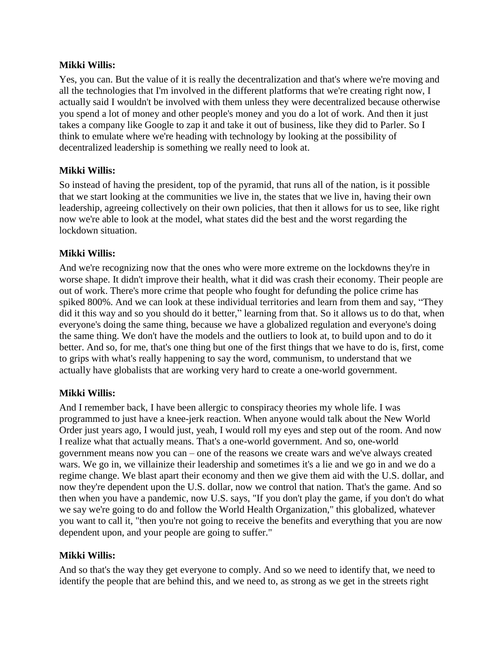### **Mikki Willis:**

Yes, you can. But the value of it is really the decentralization and that's where we're moving and all the technologies that I'm involved in the different platforms that we're creating right now, I actually said I wouldn't be involved with them unless they were decentralized because otherwise you spend a lot of money and other people's money and you do a lot of work. And then it just takes a company like Google to zap it and take it out of business, like they did to Parler. So I think to emulate where we're heading with technology by looking at the possibility of decentralized leadership is something we really need to look at.

# **Mikki Willis:**

So instead of having the president, top of the pyramid, that runs all of the nation, is it possible that we start looking at the communities we live in, the states that we live in, having their own leadership, agreeing collectively on their own policies, that then it allows for us to see, like right now we're able to look at the model, what states did the best and the worst regarding the lockdown situation.

# **Mikki Willis:**

And we're recognizing now that the ones who were more extreme on the lockdowns they're in worse shape. It didn't improve their health, what it did was crash their economy. Their people are out of work. There's more crime that people who fought for defunding the police crime has spiked 800%. And we can look at these individual territories and learn from them and say, "They did it this way and so you should do it better," learning from that. So it allows us to do that, when everyone's doing the same thing, because we have a globalized regulation and everyone's doing the same thing. We don't have the models and the outliers to look at, to build upon and to do it better. And so, for me, that's one thing but one of the first things that we have to do is, first, come to grips with what's really happening to say the word, communism, to understand that we actually have globalists that are working very hard to create a one-world government.

# **Mikki Willis:**

And I remember back, I have been allergic to conspiracy theories my whole life. I was programmed to just have a knee-jerk reaction. When anyone would talk about the New World Order just years ago, I would just, yeah, I would roll my eyes and step out of the room. And now I realize what that actually means. That's a one-world government. And so, one-world government means now you can – one of the reasons we create wars and we've always created wars. We go in, we villainize their leadership and sometimes it's a lie and we go in and we do a regime change. We blast apart their economy and then we give them aid with the U.S. dollar, and now they're dependent upon the U.S. dollar, now we control that nation. That's the game. And so then when you have a pandemic, now U.S. says, "If you don't play the game, if you don't do what we say we're going to do and follow the World Health Organization," this globalized, whatever you want to call it, "then you're not going to receive the benefits and everything that you are now dependent upon, and your people are going to suffer."

# **Mikki Willis:**

And so that's the way they get everyone to comply. And so we need to identify that, we need to identify the people that are behind this, and we need to, as strong as we get in the streets right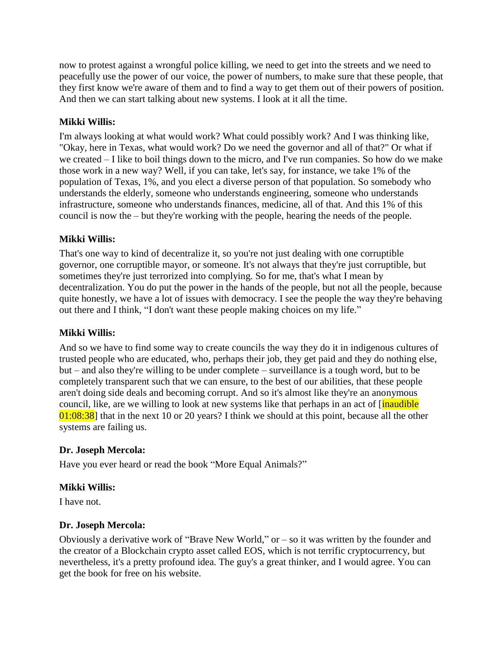now to protest against a wrongful police killing, we need to get into the streets and we need to peacefully use the power of our voice, the power of numbers, to make sure that these people, that they first know we're aware of them and to find a way to get them out of their powers of position. And then we can start talking about new systems. I look at it all the time.

# **Mikki Willis:**

I'm always looking at what would work? What could possibly work? And I was thinking like, "Okay, here in Texas, what would work? Do we need the governor and all of that?" Or what if we created – I like to boil things down to the micro, and I've run companies. So how do we make those work in a new way? Well, if you can take, let's say, for instance, we take 1% of the population of Texas, 1%, and you elect a diverse person of that population. So somebody who understands the elderly, someone who understands engineering, someone who understands infrastructure, someone who understands finances, medicine, all of that. And this 1% of this council is now the – but they're working with the people, hearing the needs of the people.

# **Mikki Willis:**

That's one way to kind of decentralize it, so you're not just dealing with one corruptible governor, one corruptible mayor, or someone. It's not always that they're just corruptible, but sometimes they're just terrorized into complying. So for me, that's what I mean by decentralization. You do put the power in the hands of the people, but not all the people, because quite honestly, we have a lot of issues with democracy. I see the people the way they're behaving out there and I think, "I don't want these people making choices on my life."

# **Mikki Willis:**

And so we have to find some way to create councils the way they do it in indigenous cultures of trusted people who are educated, who, perhaps their job, they get paid and they do nothing else, but – and also they're willing to be under complete – surveillance is a tough word, but to be completely transparent such that we can ensure, to the best of our abilities, that these people aren't doing side deals and becoming corrupt. And so it's almost like they're an anonymous council, like, are we willing to look at new systems like that perhaps in an act of [inaudible] 01:08:38] that in the next 10 or 20 years? I think we should at this point, because all the other systems are failing us.

# **Dr. Joseph Mercola:**

Have you ever heard or read the book "More Equal Animals?"

# **Mikki Willis:**

I have not.

# **Dr. Joseph Mercola:**

Obviously a derivative work of "Brave New World," or  $-$  so it was written by the founder and the creator of a Blockchain crypto asset called EOS, which is not terrific cryptocurrency, but nevertheless, it's a pretty profound idea. The guy's a great thinker, and I would agree. You can get the book for free on his website.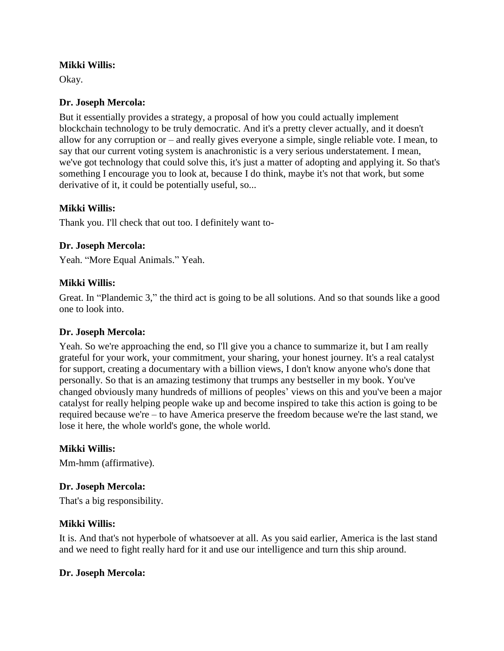### **Mikki Willis:**

Okay.

### **Dr. Joseph Mercola:**

But it essentially provides a strategy, a proposal of how you could actually implement blockchain technology to be truly democratic. And it's a pretty clever actually, and it doesn't allow for any corruption or – and really gives everyone a simple, single reliable vote. I mean, to say that our current voting system is anachronistic is a very serious understatement. I mean, we've got technology that could solve this, it's just a matter of adopting and applying it. So that's something I encourage you to look at, because I do think, maybe it's not that work, but some derivative of it, it could be potentially useful, so...

### **Mikki Willis:**

Thank you. I'll check that out too. I definitely want to-

### **Dr. Joseph Mercola:**

Yeah. "More Equal Animals." Yeah.

### **Mikki Willis:**

Great. In "Plandemic 3," the third act is going to be all solutions. And so that sounds like a good one to look into.

### **Dr. Joseph Mercola:**

Yeah. So we're approaching the end, so I'll give you a chance to summarize it, but I am really grateful for your work, your commitment, your sharing, your honest journey. It's a real catalyst for support, creating a documentary with a billion views, I don't know anyone who's done that personally. So that is an amazing testimony that trumps any bestseller in my book. You've changed obviously many hundreds of millions of peoples' views on this and you've been a major catalyst for really helping people wake up and become inspired to take this action is going to be required because we're – to have America preserve the freedom because we're the last stand, we lose it here, the whole world's gone, the whole world.

### **Mikki Willis:**

Mm-hmm (affirmative).

### **Dr. Joseph Mercola:**

That's a big responsibility.

### **Mikki Willis:**

It is. And that's not hyperbole of whatsoever at all. As you said earlier, America is the last stand and we need to fight really hard for it and use our intelligence and turn this ship around.

### **Dr. Joseph Mercola:**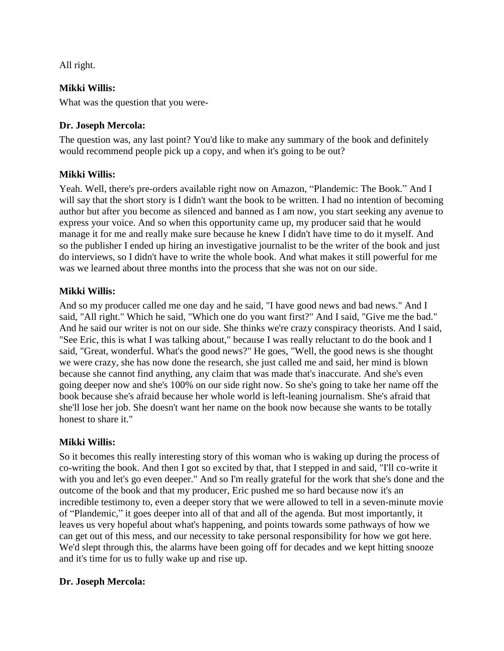All right.

# **Mikki Willis:**

What was the question that you were-

# **Dr. Joseph Mercola:**

The question was, any last point? You'd like to make any summary of the book and definitely would recommend people pick up a copy, and when it's going to be out?

# **Mikki Willis:**

Yeah. Well, there's pre-orders available right now on Amazon, "Plandemic: The Book." And I will say that the short story is I didn't want the book to be written. I had no intention of becoming author but after you become as silenced and banned as I am now, you start seeking any avenue to express your voice. And so when this opportunity came up, my producer said that he would manage it for me and really make sure because he knew I didn't have time to do it myself. And so the publisher I ended up hiring an investigative journalist to be the writer of the book and just do interviews, so I didn't have to write the whole book. And what makes it still powerful for me was we learned about three months into the process that she was not on our side.

# **Mikki Willis:**

And so my producer called me one day and he said, "I have good news and bad news." And I said, "All right." Which he said, "Which one do you want first?" And I said, "Give me the bad." And he said our writer is not on our side. She thinks we're crazy conspiracy theorists. And I said, "See Eric, this is what I was talking about," because I was really reluctant to do the book and I said, "Great, wonderful. What's the good news?" He goes, "Well, the good news is she thought we were crazy, she has now done the research, she just called me and said, her mind is blown because she cannot find anything, any claim that was made that's inaccurate. And she's even going deeper now and she's 100% on our side right now. So she's going to take her name off the book because she's afraid because her whole world is left-leaning journalism. She's afraid that she'll lose her job. She doesn't want her name on the book now because she wants to be totally honest to share it."

# **Mikki Willis:**

So it becomes this really interesting story of this woman who is waking up during the process of co-writing the book. And then I got so excited by that, that I stepped in and said, "I'll co-write it with you and let's go even deeper." And so I'm really grateful for the work that she's done and the outcome of the book and that my producer, Eric pushed me so hard because now it's an incredible testimony to, even a deeper story that we were allowed to tell in a seven-minute movie of "Plandemic," it goes deeper into all of that and all of the agenda. But most importantly, it leaves us very hopeful about what's happening, and points towards some pathways of how we can get out of this mess, and our necessity to take personal responsibility for how we got here. We'd slept through this, the alarms have been going off for decades and we kept hitting snooze and it's time for us to fully wake up and rise up.

# **Dr. Joseph Mercola:**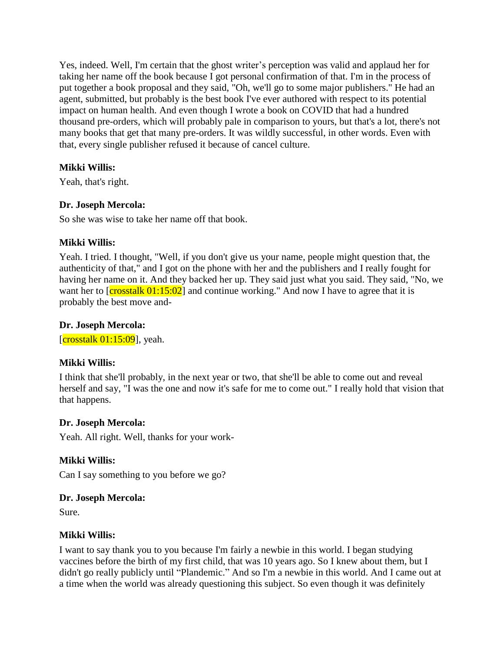Yes, indeed. Well, I'm certain that the ghost writer's perception was valid and applaud her for taking her name off the book because I got personal confirmation of that. I'm in the process of put together a book proposal and they said, "Oh, we'll go to some major publishers." He had an agent, submitted, but probably is the best book I've ever authored with respect to its potential impact on human health. And even though I wrote a book on COVID that had a hundred thousand pre-orders, which will probably pale in comparison to yours, but that's a lot, there's not many books that get that many pre-orders. It was wildly successful, in other words. Even with that, every single publisher refused it because of cancel culture.

# **Mikki Willis:**

Yeah, that's right.

# **Dr. Joseph Mercola:**

So she was wise to take her name off that book.

# **Mikki Willis:**

Yeah. I tried. I thought, "Well, if you don't give us your name, people might question that, the authenticity of that," and I got on the phone with her and the publishers and I really fought for having her name on it. And they backed her up. They said just what you said. They said, "No, we want her to  $\left[{\rm crosstalk}\ 01:15:02\right]$  and continue working." And now I have to agree that it is probably the best move and-

# **Dr. Joseph Mercola:**

[ $\frac{\text{crosstalk } 01:15:09}{\text{crosstalk}}$ ], yeah.

# **Mikki Willis:**

I think that she'll probably, in the next year or two, that she'll be able to come out and reveal herself and say, "I was the one and now it's safe for me to come out." I really hold that vision that that happens.

### **Dr. Joseph Mercola:**

Yeah. All right. Well, thanks for your work-

# **Mikki Willis:**

Can I say something to you before we go?

# **Dr. Joseph Mercola:**

Sure.

# **Mikki Willis:**

I want to say thank you to you because I'm fairly a newbie in this world. I began studying vaccines before the birth of my first child, that was 10 years ago. So I knew about them, but I didn't go really publicly until "Plandemic." And so I'm a newbie in this world. And I came out at a time when the world was already questioning this subject. So even though it was definitely